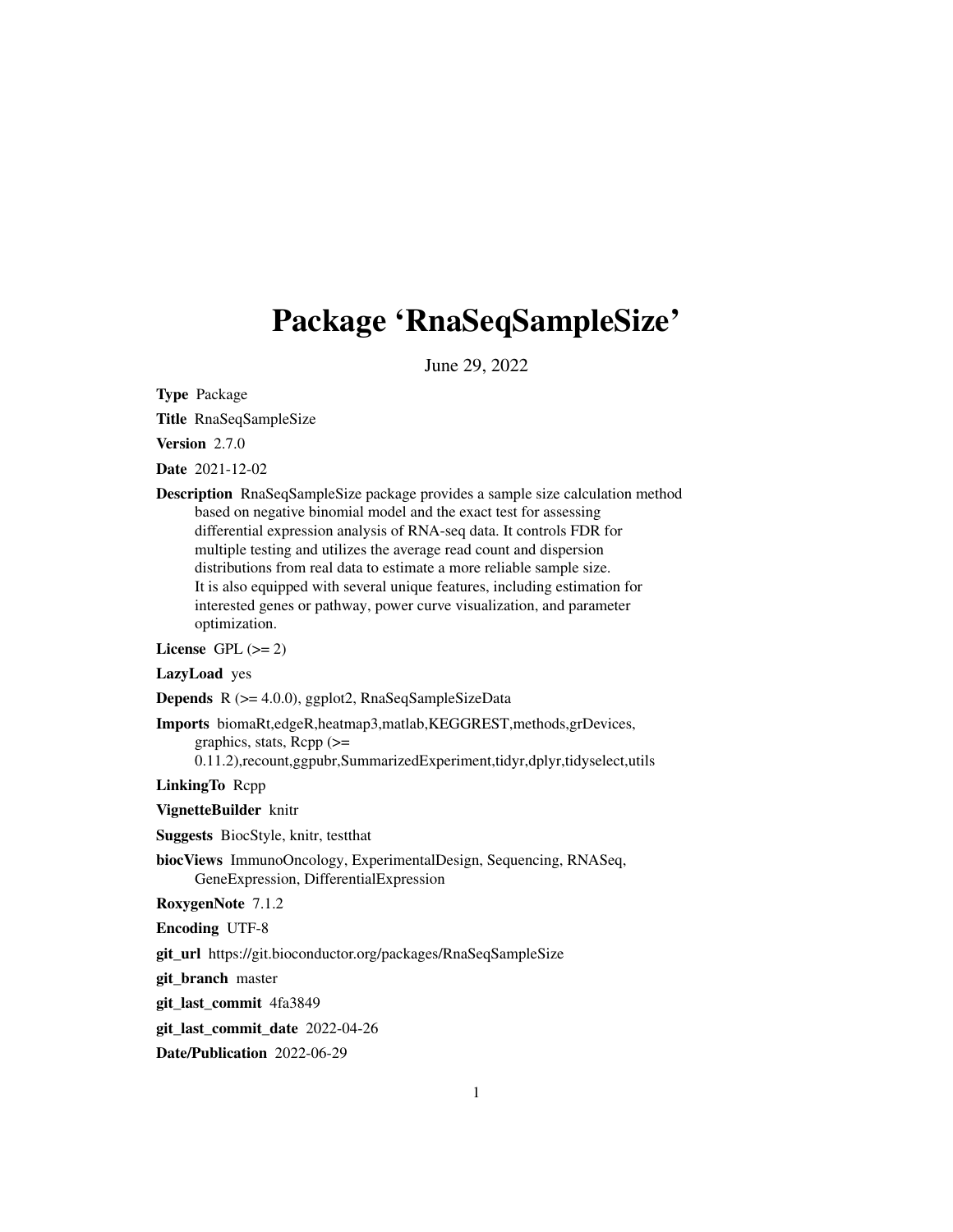# Package 'RnaSeqSampleSize'

June 29, 2022

Type Package

Title RnaSeqSampleSize

Version 2.7.0

Date 2021-12-02

Description RnaSeqSampleSize package provides a sample size calculation method based on negative binomial model and the exact test for assessing differential expression analysis of RNA-seq data. It controls FDR for multiple testing and utilizes the average read count and dispersion distributions from real data to estimate a more reliable sample size. It is also equipped with several unique features, including estimation for interested genes or pathway, power curve visualization, and parameter optimization.

License GPL  $(>= 2)$ 

#### LazyLoad yes

Depends R (>= 4.0.0), ggplot2, RnaSeqSampleSizeData

Imports biomaRt,edgeR,heatmap3,matlab,KEGGREST,methods,grDevices, graphics, stats,  $\text{Rcpp}$  ( $\geq$ 

0.11.2),recount,ggpubr,SummarizedExperiment,tidyr,dplyr,tidyselect,utils

LinkingTo Rcpp

VignetteBuilder knitr

Suggests BiocStyle, knitr, testthat

biocViews ImmunoOncology, ExperimentalDesign, Sequencing, RNASeq, GeneExpression, DifferentialExpression

RoxygenNote 7.1.2

Encoding UTF-8

git\_url https://git.bioconductor.org/packages/RnaSeqSampleSize

git branch master

git\_last\_commit 4fa3849

git last commit date 2022-04-26

Date/Publication 2022-06-29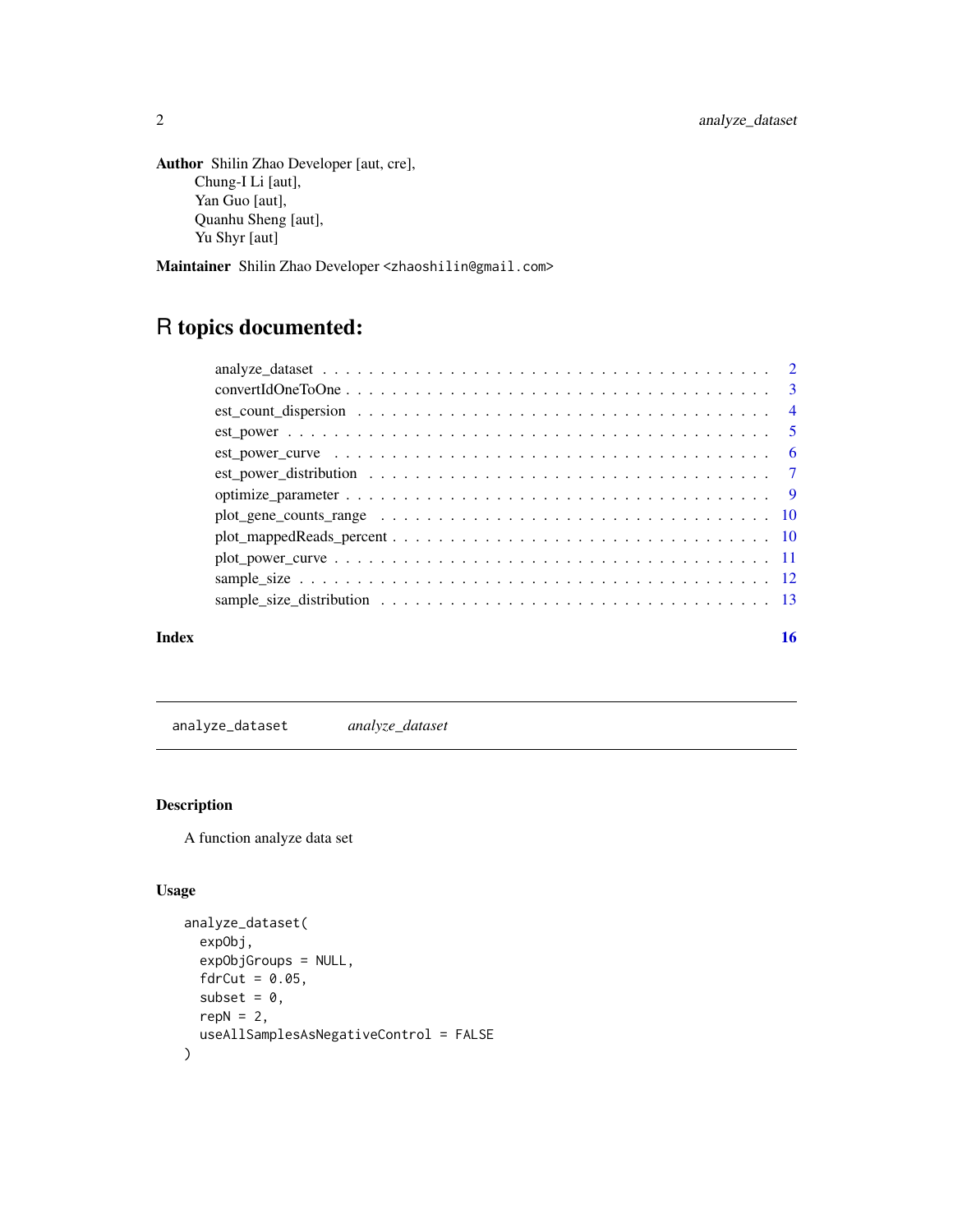```
Author Shilin Zhao Developer [aut, cre],
     Chung-I Li [aut],
     Yan Guo [aut],
     Quanhu Sheng [aut],
      Yu Shyr [aut]
```
Maintainer Shilin Zhao Developer <zhaoshilin@gmail.com>

## R topics documented:

| Index | 16 |
|-------|----|

analyze\_dataset *analyze\_dataset*

#### Description

A function analyze data set

```
analyze_dataset(
  expObj,
  expObjGroups = NULL,
  fdrCut = 0.05,
  subset = \theta,
  repN = 2,
  useAllSamplesAsNegativeControl = FALSE
\mathcal{L}
```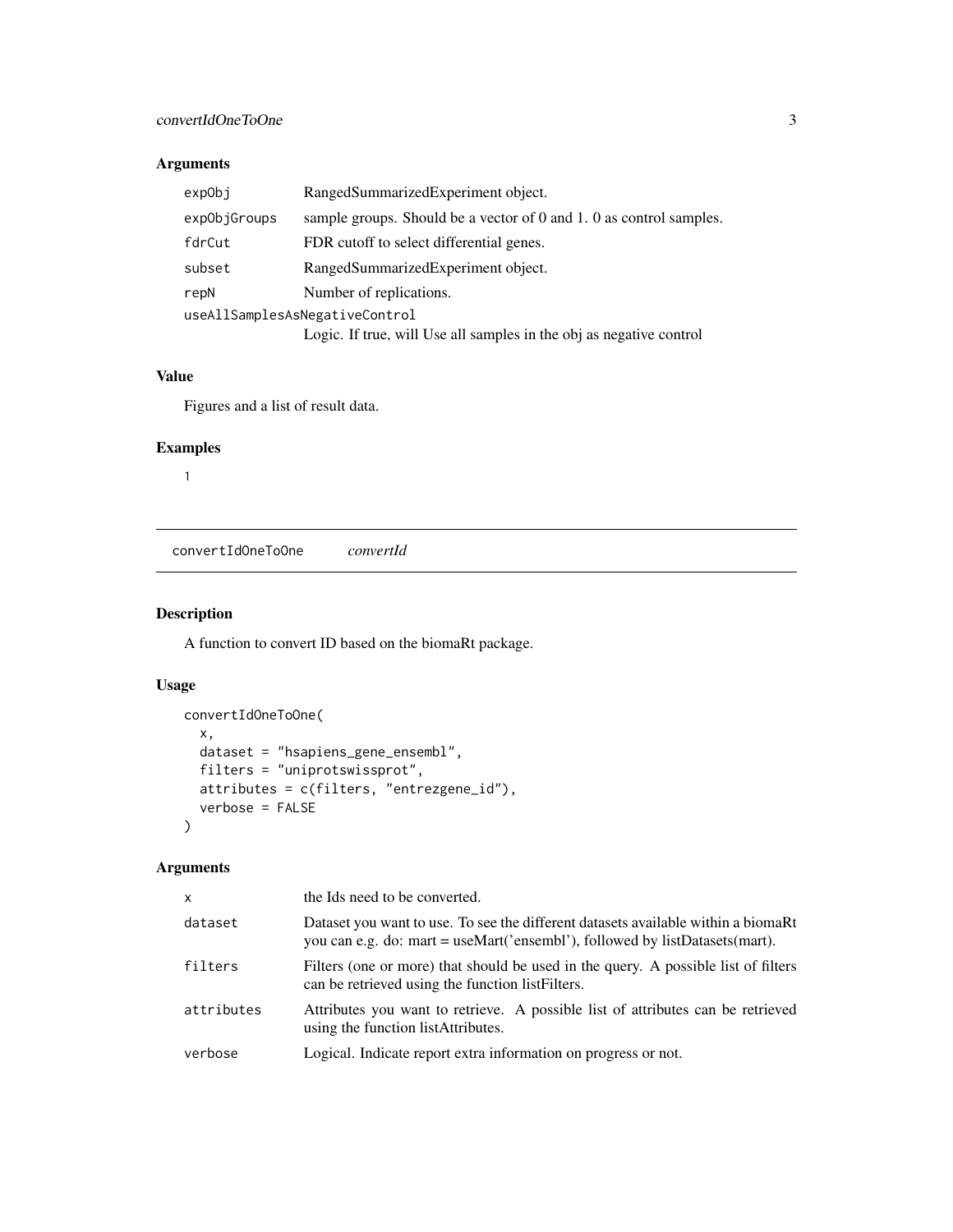<span id="page-2-0"></span>

| exp0bj       | RangedSummarizedExperiment object.                                  |
|--------------|---------------------------------------------------------------------|
| expObjGroups | sample groups. Should be a vector of 0 and 1.0 as control samples.  |
| fdrCut       | FDR cutoff to select differential genes.                            |
| subset       | RangedSummarizedExperiment object.                                  |
| repN         | Number of replications.                                             |
|              | useAllSamplesAsNegativeControl                                      |
|              | Logic. If true, will Use all samples in the obj as negative control |

#### Value

Figures and a list of result data.

#### Examples

1

convertIdOneToOne *convertId*

#### Description

A function to convert ID based on the biomaRt package.

#### Usage

```
convertIdOneToOne(
 x,
 dataset = "hsapiens_gene_ensembl",
 filters = "uniprotswissprot",
 attributes = c(filters, "entrezgene_id"),
 verbose = FALSE
\mathcal{L}
```

| $\mathsf{x}$ | the Ids need to be converted.                                                                                                                                    |
|--------------|------------------------------------------------------------------------------------------------------------------------------------------------------------------|
| dataset      | Dataset you want to use. To see the different datasets available within a biomaRt<br>you can e.g. do: mart = useMart('ensembl'), followed by listDatasets(mart). |
| filters      | Filters (one or more) that should be used in the query. A possible list of filters<br>can be retrieved using the function list Filters.                          |
| attributes   | Attributes you want to retrieve. A possible list of attributes can be retrieved<br>using the function list Attributes.                                           |
| verbose      | Logical. Indicate report extra information on progress or not.                                                                                                   |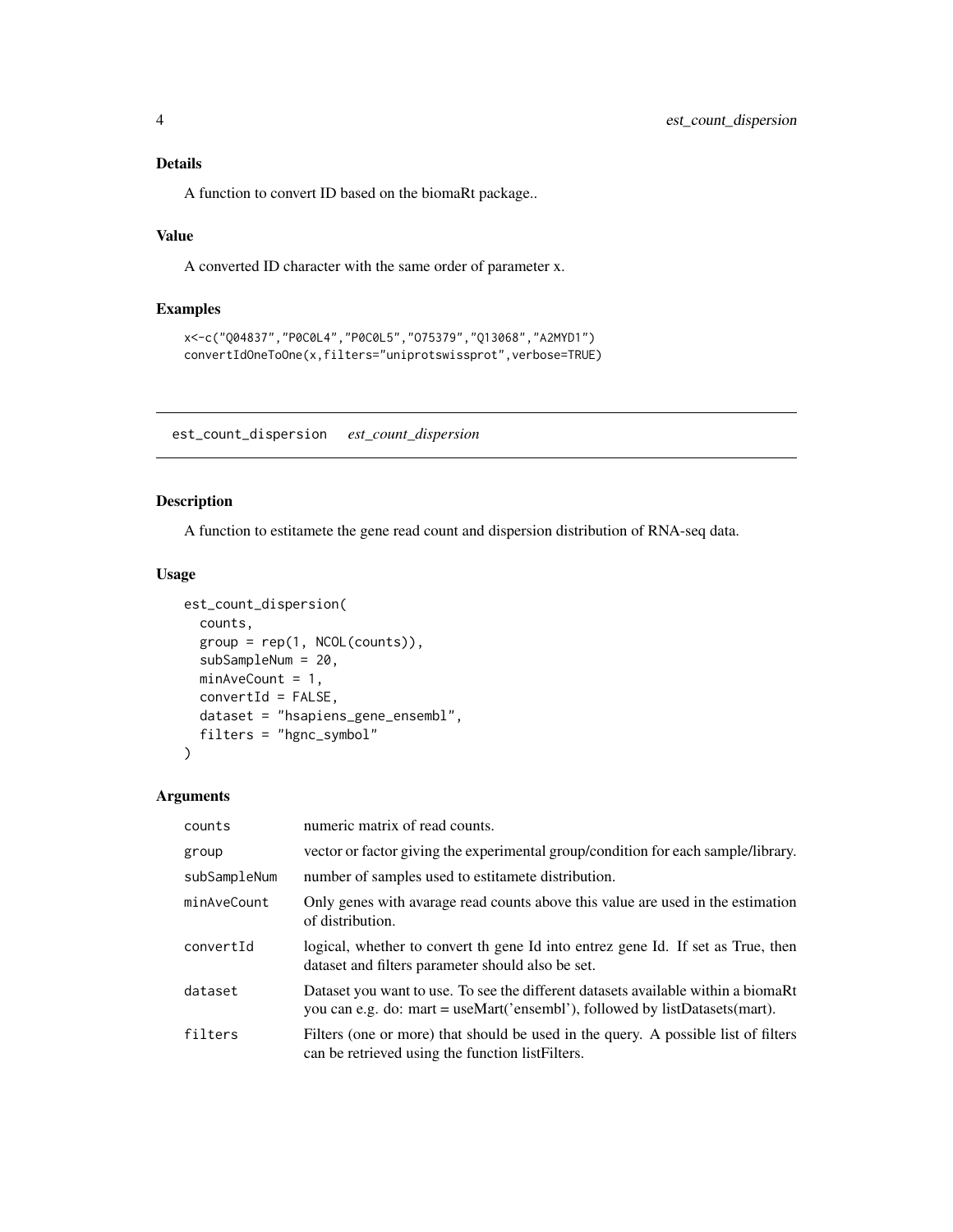#### <span id="page-3-0"></span>Details

A function to convert ID based on the biomaRt package..

#### Value

A converted ID character with the same order of parameter x.

#### Examples

```
x<-c("Q04837","P0C0L4","P0C0L5","O75379","Q13068","A2MYD1")
convertIdOneToOne(x,filters="uniprotswissprot",verbose=TRUE)
```
est\_count\_dispersion *est\_count\_dispersion*

#### Description

A function to estitamete the gene read count and dispersion distribution of RNA-seq data.

#### Usage

```
est_count_dispersion(
  counts,
 group = rep(1, NCOL(counts)),subSampleNum = 20,
 minAveCount = 1,
 convertId = FALSE,dataset = "hsapiens_gene_ensembl",
 filters = "hgnc_symbol"
)
```

| counts       | numeric matrix of read counts.                                                                                                                                   |
|--------------|------------------------------------------------------------------------------------------------------------------------------------------------------------------|
| group        | vector or factor giving the experimental group/condition for each sample/library.                                                                                |
| subSampleNum | number of samples used to estitamete distribution.                                                                                                               |
| minAveCount  | Only genes with avarage read counts above this value are used in the estimation<br>of distribution.                                                              |
| convertId    | logical, whether to convert th gene Id into entrez gene Id. If set as True, then<br>dataset and filters parameter should also be set.                            |
| dataset      | Dataset you want to use. To see the different datasets available within a biomaRt<br>you can e.g. do: mart = useMart('ensembl'), followed by listDatasets(mart). |
| filters      | Filters (one or more) that should be used in the query. A possible list of filters<br>can be retrieved using the function list Filters.                          |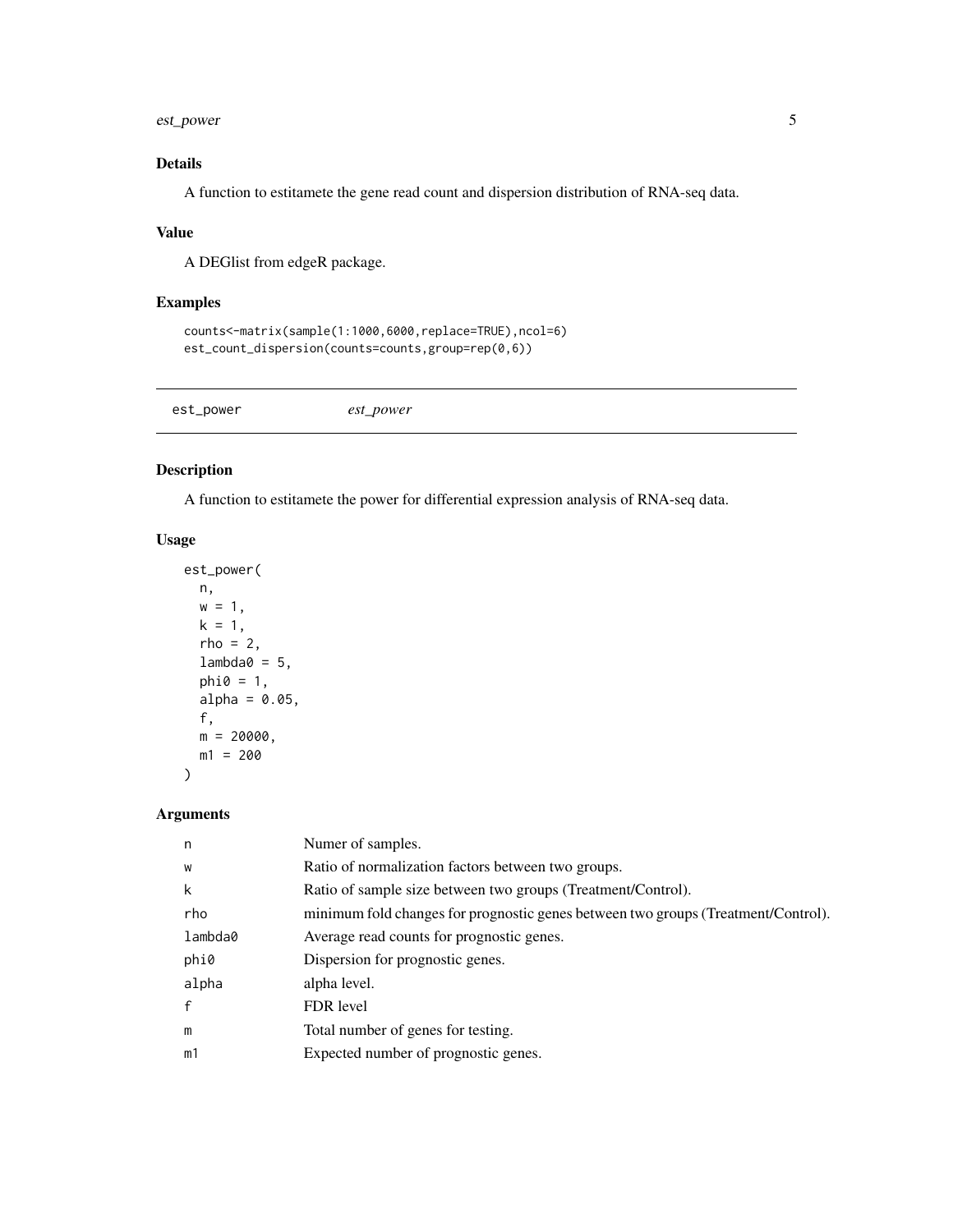### <span id="page-4-0"></span>est\_power 5

#### Details

A function to estitamete the gene read count and dispersion distribution of RNA-seq data.

#### Value

A DEGlist from edgeR package.

#### Examples

```
counts<-matrix(sample(1:1000,6000,replace=TRUE),ncol=6)
est_count_dispersion(counts=counts,group=rep(0,6))
```

| est_power<br>est_power |  |  |  |  |
|------------------------|--|--|--|--|
|------------------------|--|--|--|--|

#### Description

A function to estitamete the power for differential expression analysis of RNA-seq data.

#### Usage

```
est_power(
 n,
 w = 1,k = 1,rho = 2,
 lambda@ = 5,
 phi = 1,
 alpha = 0.05,
 f,
 m = 20000,m1 = 200)
```

| n            | Numer of samples.                                                                 |
|--------------|-----------------------------------------------------------------------------------|
| W            | Ratio of normalization factors between two groups.                                |
| k            | Ratio of sample size between two groups (Treatment/Control).                      |
| rho          | minimum fold changes for prognostic genes between two groups (Treatment/Control). |
| lambda0      | Average read counts for prognostic genes.                                         |
| phi0         | Dispersion for prognostic genes.                                                  |
| alpha        | alpha level.                                                                      |
| $\mathbf{f}$ | FDR level                                                                         |
| m            | Total number of genes for testing.                                                |
| m1           | Expected number of prognostic genes.                                              |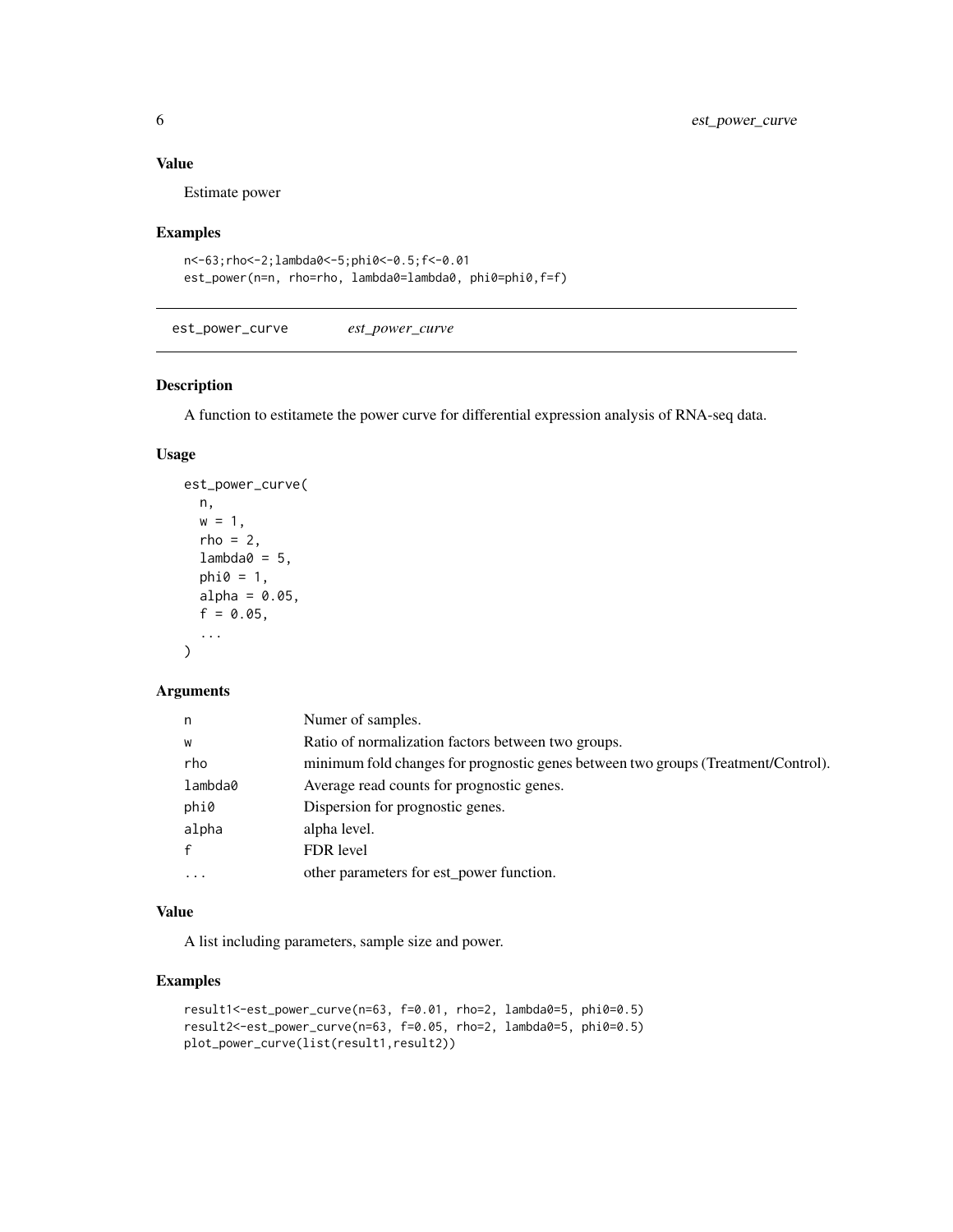#### <span id="page-5-0"></span>Value

Estimate power

#### Examples

```
n<-63;rho<-2;lambda0<-5;phi0<-0.5;f<-0.01
est_power(n=n, rho=rho, lambda0=lambda0, phi0=phi0,f=f)
```
<span id="page-5-1"></span>est\_power\_curve *est\_power\_curve*

#### Description

A function to estitamete the power curve for differential expression analysis of RNA-seq data.

#### Usage

```
est_power_curve(
  n,
  w = 1,rho = 2,
  lambda@ = 5,
  phi = 1,
  alpha = 0.05,
  f = 0.05,
  ...
\mathcal{L}
```
#### Arguments

| n            | Numer of samples.                                                                 |
|--------------|-----------------------------------------------------------------------------------|
| W            | Ratio of normalization factors between two groups.                                |
| rho          | minimum fold changes for prognostic genes between two groups (Treatment/Control). |
| lambda0      | Average read counts for prognostic genes.                                         |
| phi0         | Dispersion for prognostic genes.                                                  |
| alpha        | alpha level.                                                                      |
| $\mathbf{f}$ | FDR level                                                                         |
| $\cdot$      | other parameters for est_power function.                                          |

#### Value

A list including parameters, sample size and power.

#### Examples

```
result1<-est_power_curve(n=63, f=0.01, rho=2, lambda0=5, phi0=0.5)
result2<-est_power_curve(n=63, f=0.05, rho=2, lambda0=5, phi0=0.5)
plot_power_curve(list(result1,result2))
```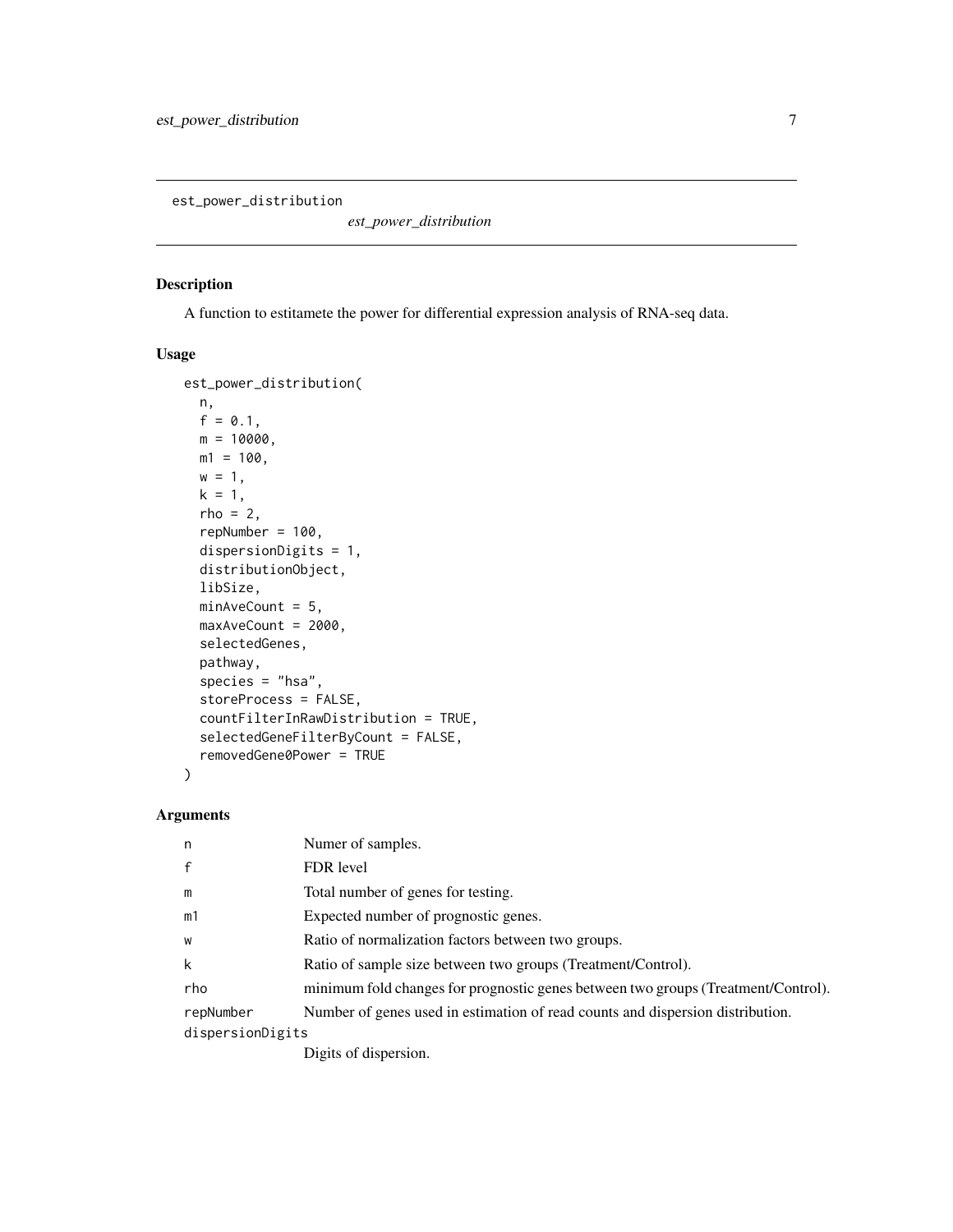<span id="page-6-0"></span>est\_power\_distribution

*est\_power\_distribution*

#### Description

A function to estitamete the power for differential expression analysis of RNA-seq data.

#### Usage

```
est_power_distribution(
 n,
 f = 0.1,
 m = 10000,m1 = 100,
 w = 1,
 k = 1,rho = 2,
  repNumber = 100,dispersionDigits = 1,
 distributionObject,
 libSize,
 minAveCount = 5,
 maxAveCount = 2000,
 selectedGenes,
 pathway,
  species = "hsa",
  storeProcess = FALSE,
  countFilterInRawDistribution = TRUE,
  selectedGeneFilterByCount = FALSE,
  removedGene0Power = TRUE
)
```
#### Arguments

| n                | Numer of samples.                                                                                                                                                                                                                                                                                                                  |
|------------------|------------------------------------------------------------------------------------------------------------------------------------------------------------------------------------------------------------------------------------------------------------------------------------------------------------------------------------|
| $\mathsf{f}$     | FDR level                                                                                                                                                                                                                                                                                                                          |
| m                | Total number of genes for testing.                                                                                                                                                                                                                                                                                                 |
| m1               | Expected number of prognostic genes.                                                                                                                                                                                                                                                                                               |
| W                | Ratio of normalization factors between two groups.                                                                                                                                                                                                                                                                                 |
| k                | Ratio of sample size between two groups (Treatment/Control).                                                                                                                                                                                                                                                                       |
| rho              | minimum fold changes for prognostic genes between two groups (Treatment/Control).                                                                                                                                                                                                                                                  |
| repNumber        | Number of genes used in estimation of read counts and dispersion distribution.                                                                                                                                                                                                                                                     |
| dispersionDigits |                                                                                                                                                                                                                                                                                                                                    |
|                  | $\mathbf{D}$ $\mathbf{D}$ $\mathbf{D}$ $\mathbf{D}$ $\mathbf{D}$ $\mathbf{D}$ $\mathbf{D}$ $\mathbf{D}$ $\mathbf{D}$ $\mathbf{D}$ $\mathbf{D}$ $\mathbf{D}$ $\mathbf{D}$ $\mathbf{D}$ $\mathbf{D}$ $\mathbf{D}$ $\mathbf{D}$ $\mathbf{D}$ $\mathbf{D}$ $\mathbf{D}$ $\mathbf{D}$ $\mathbf{D}$ $\mathbf{D}$ $\mathbf{D}$ $\mathbf{$ |

Digits of dispersion.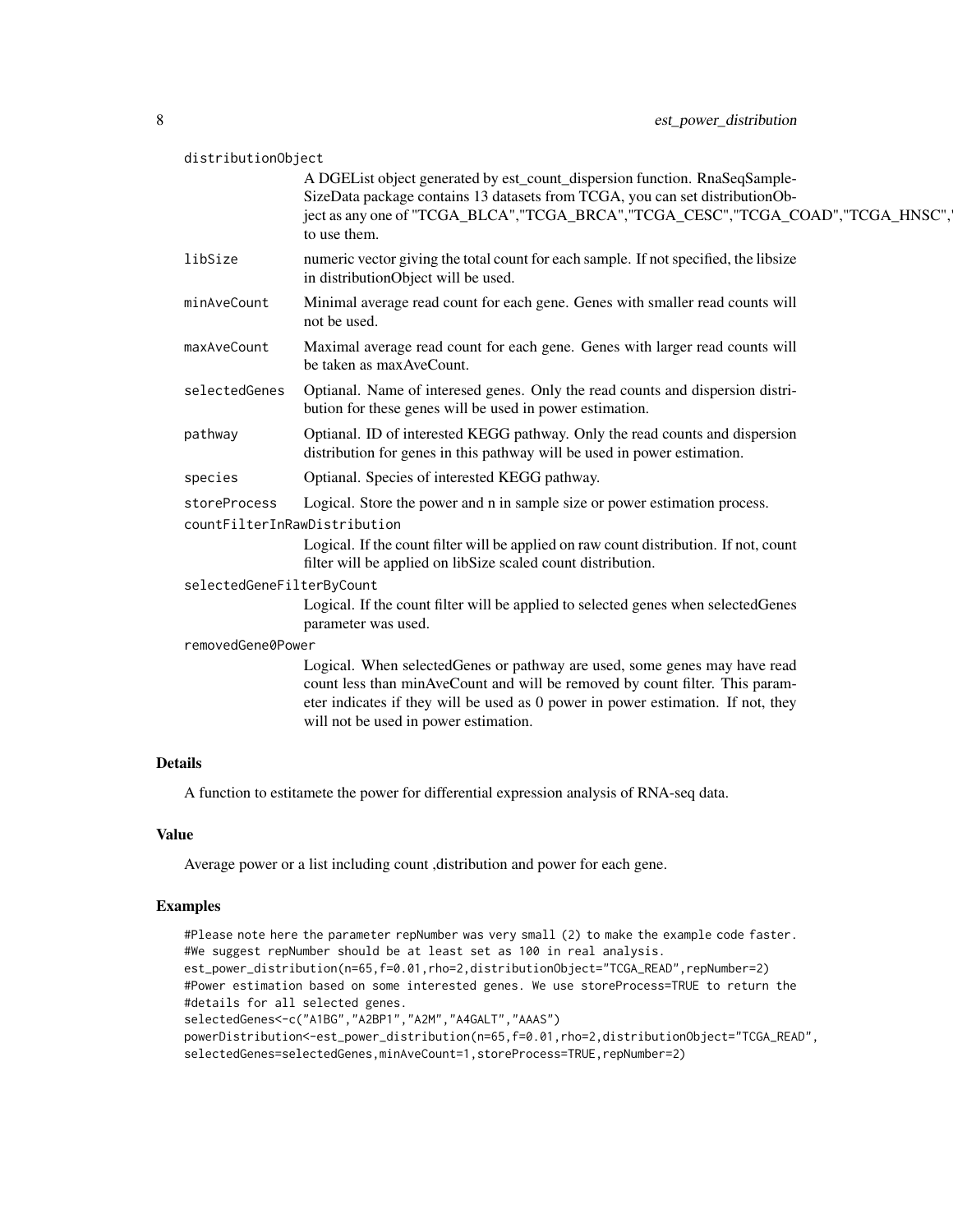| distributionObject        |                                                                                                                                                                                                                                                                   |
|---------------------------|-------------------------------------------------------------------------------------------------------------------------------------------------------------------------------------------------------------------------------------------------------------------|
|                           | A DGEList object generated by est_count_dispersion function. RnaSeqSample-<br>SizeData package contains 13 datasets from TCGA, you can set distributionOb-<br>ject as any one of "TCGA_BLCA", "TCGA_BRCA", "TCGA_CESC", "TCGA_COAD", "TCGA_HNSC",<br>to use them. |
| libSize                   | numeric vector giving the total count for each sample. If not specified, the libsize<br>in distributionObject will be used.                                                                                                                                       |
| minAveCount               | Minimal average read count for each gene. Genes with smaller read counts will<br>not be used.                                                                                                                                                                     |
| maxAveCount               | Maximal average read count for each gene. Genes with larger read counts will<br>be taken as max AveCount.                                                                                                                                                         |
| selectedGenes             | Optianal. Name of interesed genes. Only the read counts and dispersion distri-<br>bution for these genes will be used in power estimation.                                                                                                                        |
| pathway                   | Optianal. ID of interested KEGG pathway. Only the read counts and dispersion<br>distribution for genes in this pathway will be used in power estimation.                                                                                                          |
| species                   | Optianal. Species of interested KEGG pathway.                                                                                                                                                                                                                     |
| storeProcess              | Logical. Store the power and n in sample size or power estimation process.                                                                                                                                                                                        |
|                           | countFilterInRawDistribution                                                                                                                                                                                                                                      |
|                           | Logical. If the count filter will be applied on raw count distribution. If not, count<br>filter will be applied on libSize scaled count distribution.                                                                                                             |
| selectedGeneFilterByCount |                                                                                                                                                                                                                                                                   |
|                           | Logical. If the count filter will be applied to selected genes when selectedGenes<br>parameter was used.                                                                                                                                                          |
| removedGene0Power         |                                                                                                                                                                                                                                                                   |
|                           | Logical. When selectedGenes or pathway are used, some genes may have read                                                                                                                                                                                         |
|                           | count less than minAveCount and will be removed by count filter. This param-<br>eter indicates if they will be used as 0 power in power estimation. If not, they                                                                                                  |
|                           | will not be used in power estimation.                                                                                                                                                                                                                             |

#### Details

A function to estitamete the power for differential expression analysis of RNA-seq data.

#### Value

Average power or a list including count ,distribution and power for each gene.

#### Examples

```
#Please note here the parameter repNumber was very small (2) to make the example code faster.
#We suggest repNumber should be at least set as 100 in real analysis.
est_power_distribution(n=65,f=0.01,rho=2,distributionObject="TCGA_READ",repNumber=2)
#Power estimation based on some interested genes. We use storeProcess=TRUE to return the
#details for all selected genes.
selectedGenes<-c("A1BG","A2BP1","A2M","A4GALT","AAAS")
powerDistribution<-est_power_distribution(n=65,f=0.01,rho=2,distributionObject="TCGA_READ",
selectedGenes=selectedGenes,minAveCount=1,storeProcess=TRUE,repNumber=2)
```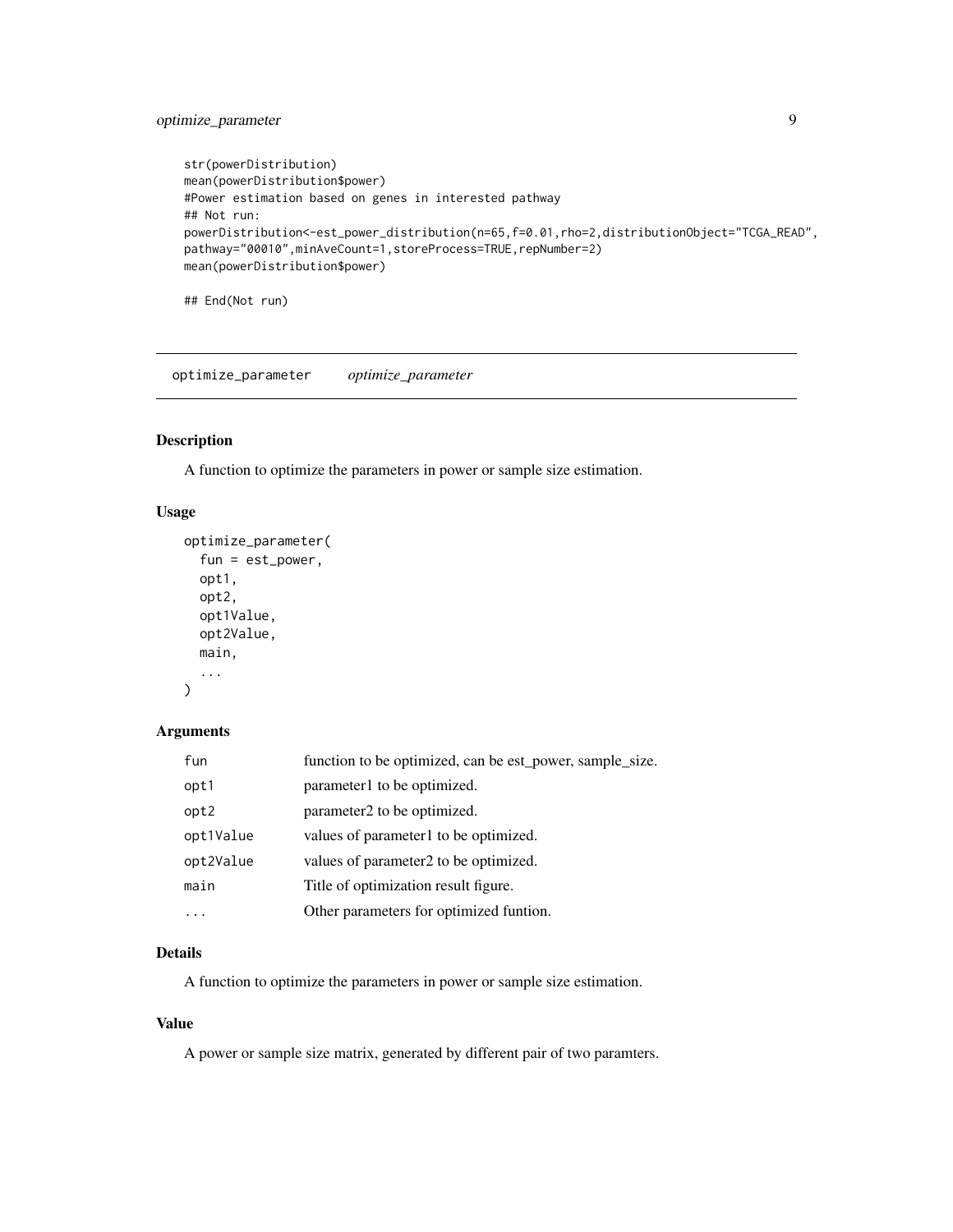#### <span id="page-8-0"></span>optimize\_parameter 9

```
str(powerDistribution)
mean(powerDistribution$power)
#Power estimation based on genes in interested pathway
## Not run:
powerDistribution<-est_power_distribution(n=65,f=0.01,rho=2,distributionObject="TCGA_READ",
pathway="00010",minAveCount=1,storeProcess=TRUE,repNumber=2)
mean(powerDistribution$power)
```
## End(Not run)

optimize\_parameter *optimize\_parameter*

#### Description

A function to optimize the parameters in power or sample size estimation.

#### Usage

```
optimize_parameter(
  fun = est_power,
  opt1,
  opt2,
  opt1Value,
 opt2Value,
 main,
  ...
)
```
#### Arguments

| fun       | function to be optimized, can be est_power, sample_size. |
|-----------|----------------------------------------------------------|
| opt1      | parameter1 to be optimized.                              |
| opt2      | parameter2 to be optimized.                              |
| opt1Value | values of parameter1 to be optimized.                    |
| opt2Value | values of parameter2 to be optimized.                    |
| main      | Title of optimization result figure.                     |
|           | Other parameters for optimized funtion.                  |

#### Details

A function to optimize the parameters in power or sample size estimation.

#### Value

A power or sample size matrix, generated by different pair of two paramters.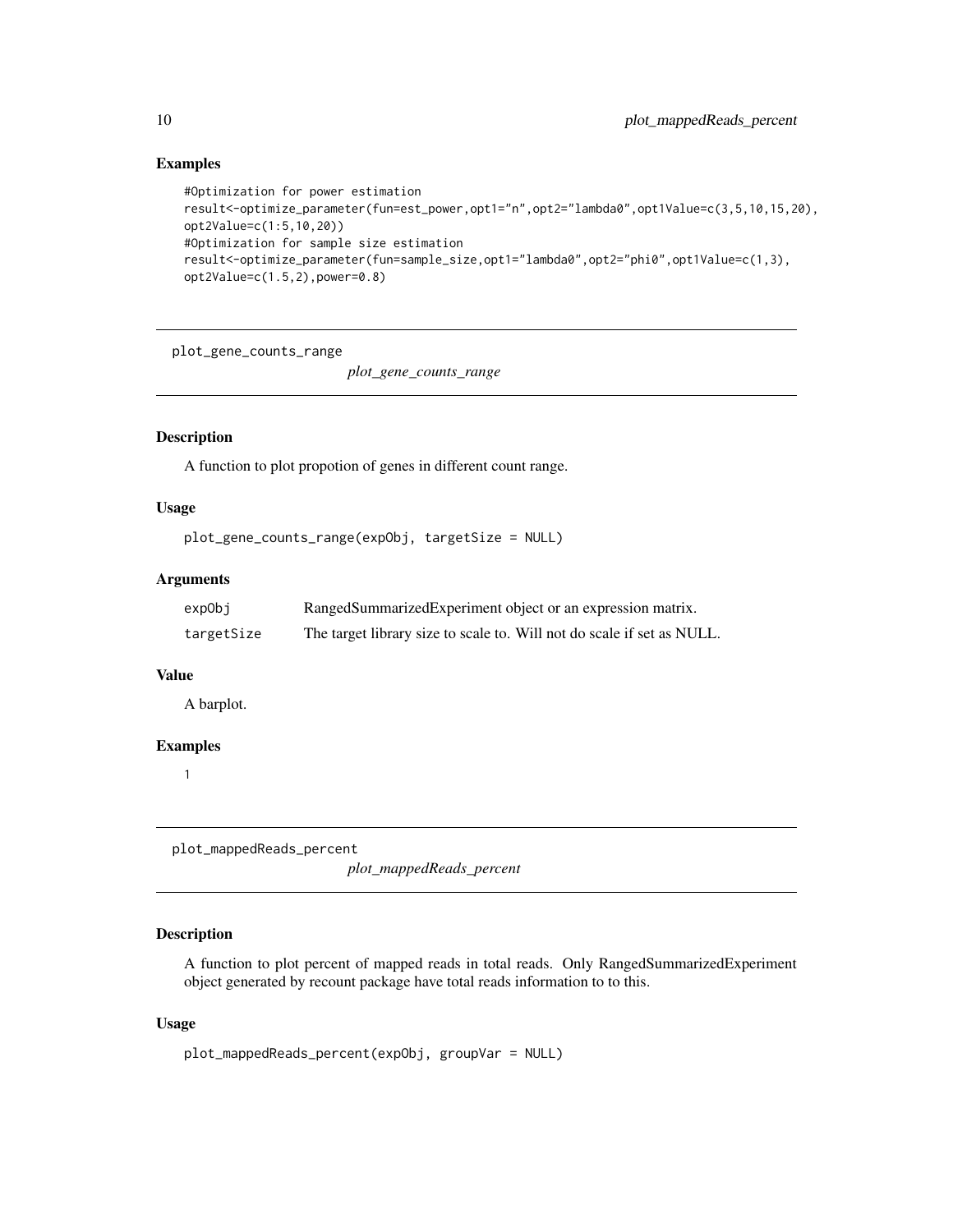#### Examples

```
#Optimization for power estimation
result<-optimize_parameter(fun=est_power,opt1="n",opt2="lambda0",opt1Value=c(3,5,10,15,20),
opt2Value=c(1:5,10,20))
#Optimization for sample size estimation
result<-optimize_parameter(fun=sample_size,opt1="lambda0",opt2="phi0",opt1Value=c(1,3),
opt2Value=c(1.5,2),power=0.8)
```
plot\_gene\_counts\_range

*plot\_gene\_counts\_range*

#### Description

A function to plot propotion of genes in different count range.

#### Usage

```
plot_gene_counts_range(expObj, targetSize = NULL)
```
#### Arguments

| expObj     | RangedSummarizedExperiment object or an expression matrix.             |
|------------|------------------------------------------------------------------------|
| targetSize | The target library size to scale to. Will not do scale if set as NULL. |

#### Value

A barplot.

#### Examples

1

plot\_mappedReads\_percent

*plot\_mappedReads\_percent*

#### Description

A function to plot percent of mapped reads in total reads. Only RangedSummarizedExperiment object generated by recount package have total reads information to to this.

```
plot_mappedReads_percent(expObj, groupVar = NULL)
```
<span id="page-9-0"></span>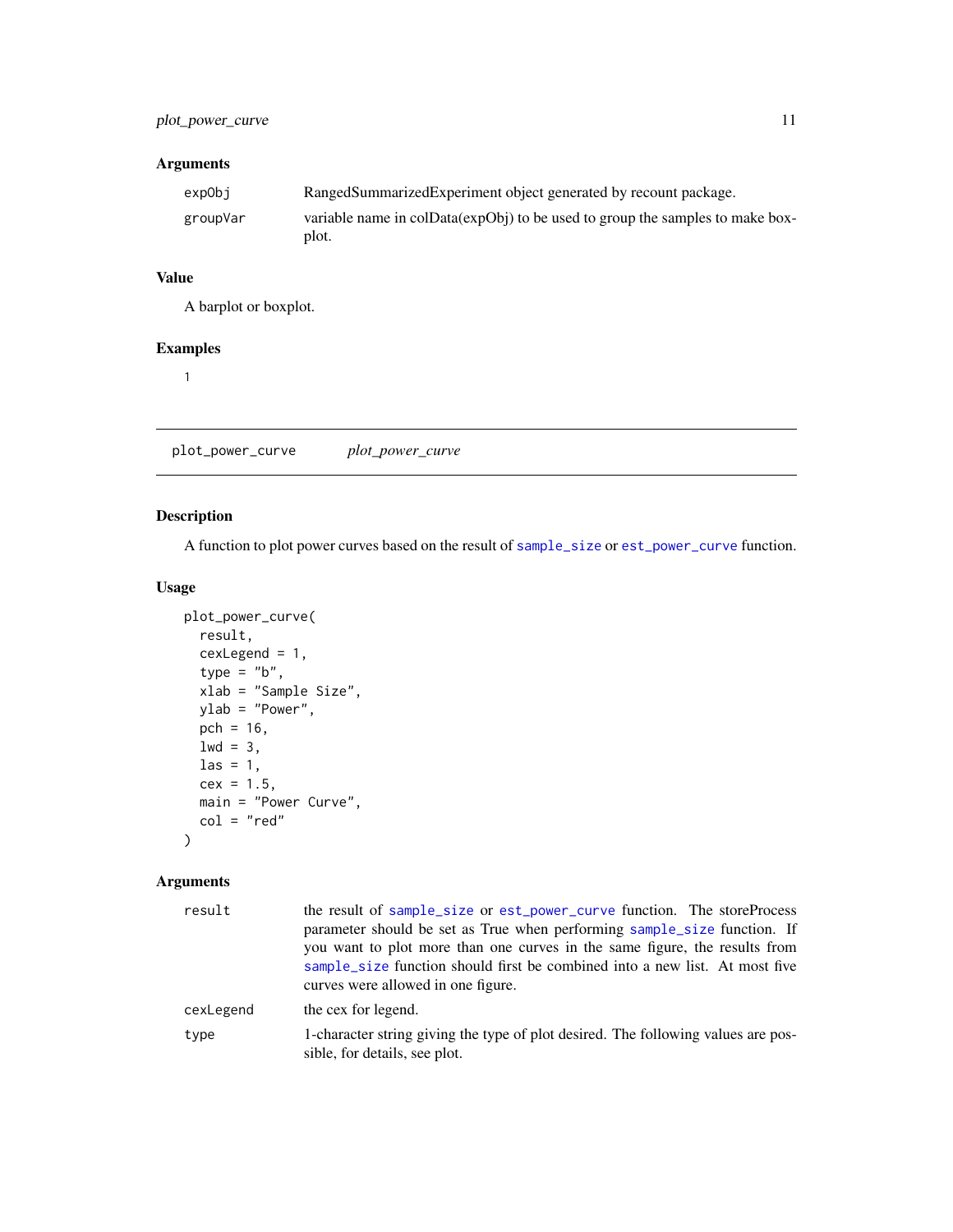<span id="page-10-0"></span>

| expObj   | RangedSummarizedExperiment object generated by recount package.                        |
|----------|----------------------------------------------------------------------------------------|
| groupVar | variable name in colData(expObj) to be used to group the samples to make box-<br>plot. |
|          |                                                                                        |

#### Value

A barplot or boxplot.

#### Examples

1

plot\_power\_curve *plot\_power\_curve*

#### Description

A function to plot power curves based on the result of [sample\\_size](#page-11-1) or [est\\_power\\_curve](#page-5-1) function.

#### Usage

```
plot_power_curve(
  result,
  cexLegend = 1,
  type = "b",xlab = "Sample Size",
  ylab = "Power",
  pch = 16,
  1wd = 3,
  \text{las} = 1,
  cex = 1.5,
  main = "Power Curve",
  col = "red"\mathcal{L}
```

| result    | the result of sample_size or est_power_curve function. The storeProcess<br>parameter should be set as True when performing sample_size function. If<br>you want to plot more than one curves in the same figure, the results from |
|-----------|-----------------------------------------------------------------------------------------------------------------------------------------------------------------------------------------------------------------------------------|
|           | sample_size function should first be combined into a new list. At most five<br>curves were allowed in one figure.                                                                                                                 |
| cexLegend | the cex for legend.                                                                                                                                                                                                               |
| type      | 1-character string giving the type of plot desired. The following values are pos-<br>sible, for details, see plot.                                                                                                                |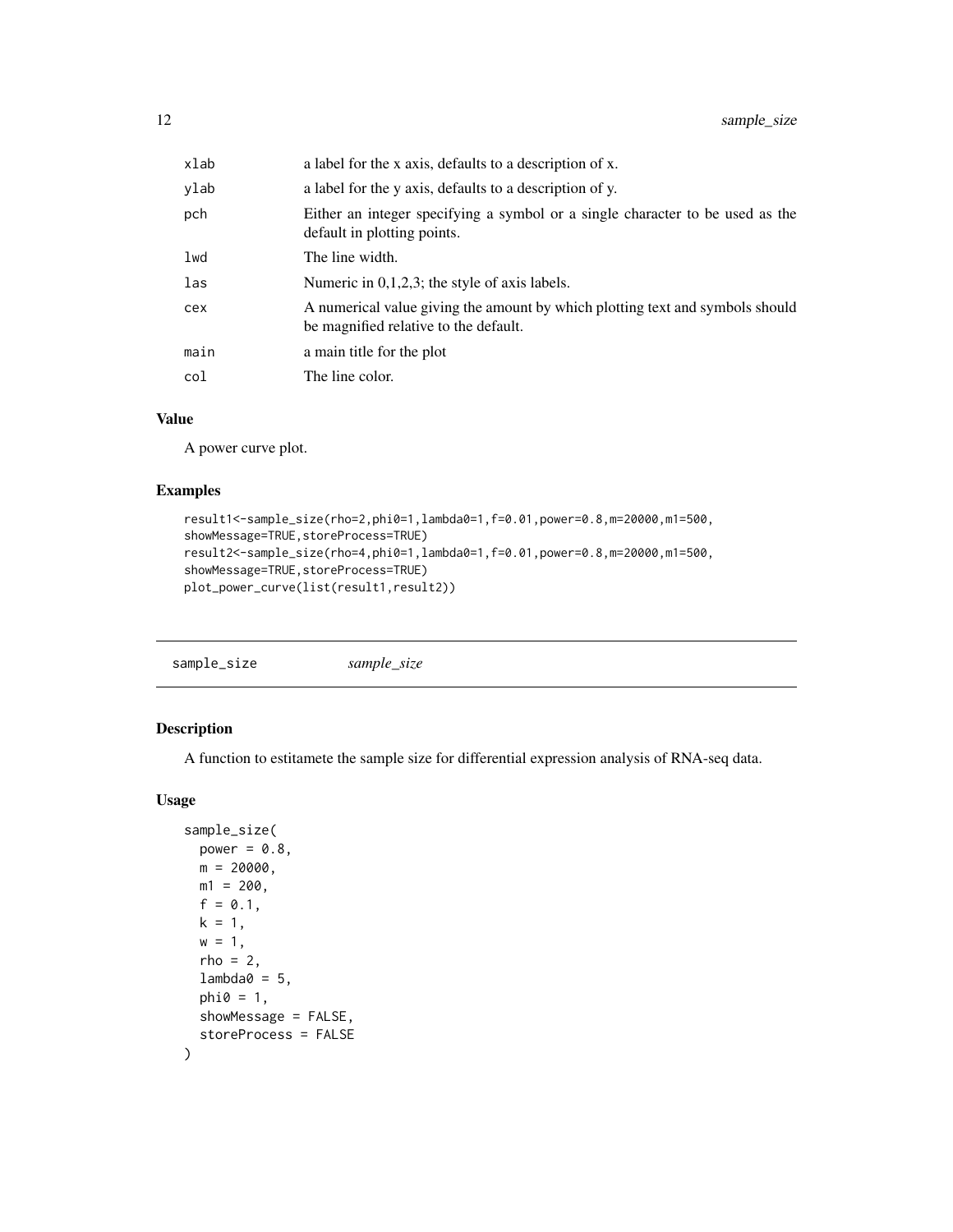<span id="page-11-0"></span>

| xlab | a label for the x axis, defaults to a description of x.                                                                |
|------|------------------------------------------------------------------------------------------------------------------------|
| vlab | a label for the y axis, defaults to a description of y.                                                                |
| pch  | Either an integer specifying a symbol or a single character to be used as the<br>default in plotting points.           |
| lwd  | The line width.                                                                                                        |
| las  | Numeric in $0,1,2,3$ ; the style of axis labels.                                                                       |
| cex  | A numerical value giving the amount by which plotting text and symbols should<br>be magnified relative to the default. |
| main | a main title for the plot                                                                                              |
| col  | The line color.                                                                                                        |
|      |                                                                                                                        |

#### Value

A power curve plot.

#### Examples

```
result1<-sample_size(rho=2,phi0=1,lambda0=1,f=0.01,power=0.8,m=20000,m1=500,
showMessage=TRUE, storeProcess=TRUE)
result2<-sample_size(rho=4,phi0=1,lambda0=1,f=0.01,power=0.8,m=20000,m1=500,
showMessage=TRUE, storeProcess=TRUE)
plot_power_curve(list(result1,result2))
```
<span id="page-11-1"></span>

#### Description

A function to estitamete the sample size for differential expression analysis of RNA-seq data.

```
sample_size(
 power = 0.8,
 m = 20000,m1 = 200,
 f = 0.1,
 k = 1,w = 1,
  rho = 2,
 lambda@ = 5,
 phi = 1,
  showMessage = FALSE,
  storeProcess = FALSE
\mathcal{E}
```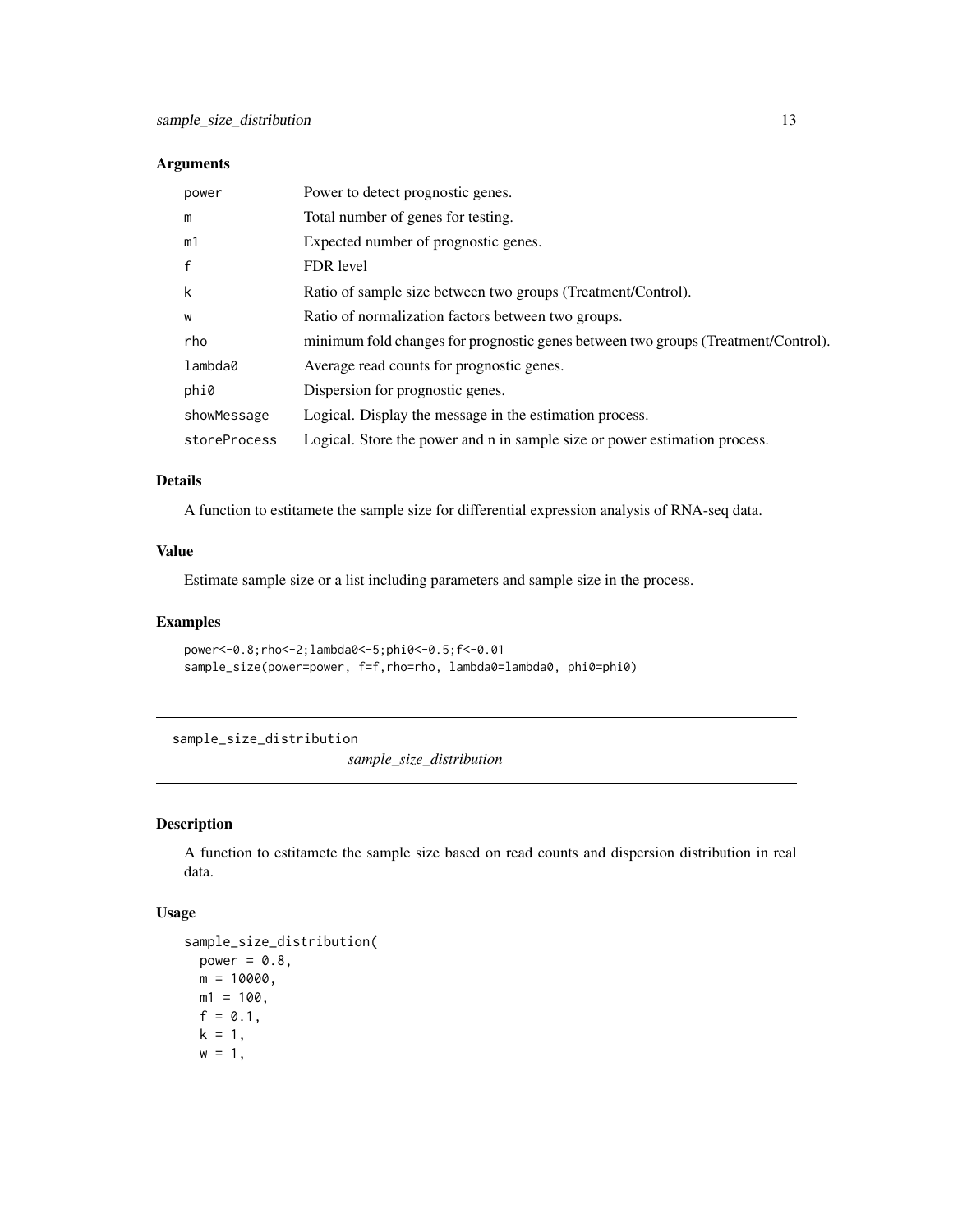<span id="page-12-0"></span>

| power        | Power to detect prognostic genes.                                                 |
|--------------|-----------------------------------------------------------------------------------|
| m            | Total number of genes for testing.                                                |
| m1           | Expected number of prognostic genes.                                              |
| $\mathsf{f}$ | FDR level                                                                         |
| k            | Ratio of sample size between two groups (Treatment/Control).                      |
| W            | Ratio of normalization factors between two groups.                                |
| rho          | minimum fold changes for prognostic genes between two groups (Treatment/Control). |
| lambda0      | Average read counts for prognostic genes.                                         |
| phi0         | Dispersion for prognostic genes.                                                  |
| showMessage  | Logical. Display the message in the estimation process.                           |
| storeProcess | Logical. Store the power and n in sample size or power estimation process.        |

#### Details

A function to estitamete the sample size for differential expression analysis of RNA-seq data.

#### Value

Estimate sample size or a list including parameters and sample size in the process.

#### Examples

```
power<-0.8;rho<-2;lambda0<-5;phi0<-0.5;f<-0.01
sample_size(power=power, f=f,rho=rho, lambda0=lambda0, phi0=phi0)
```
sample\_size\_distribution

*sample\_size\_distribution*

#### Description

A function to estitamete the sample size based on read counts and dispersion distribution in real data.

```
sample_size_distribution(
 power = 0.8,
 m = 10000,m1 = 100.
 f = 0.1,
 k = 1,
 w = 1,
```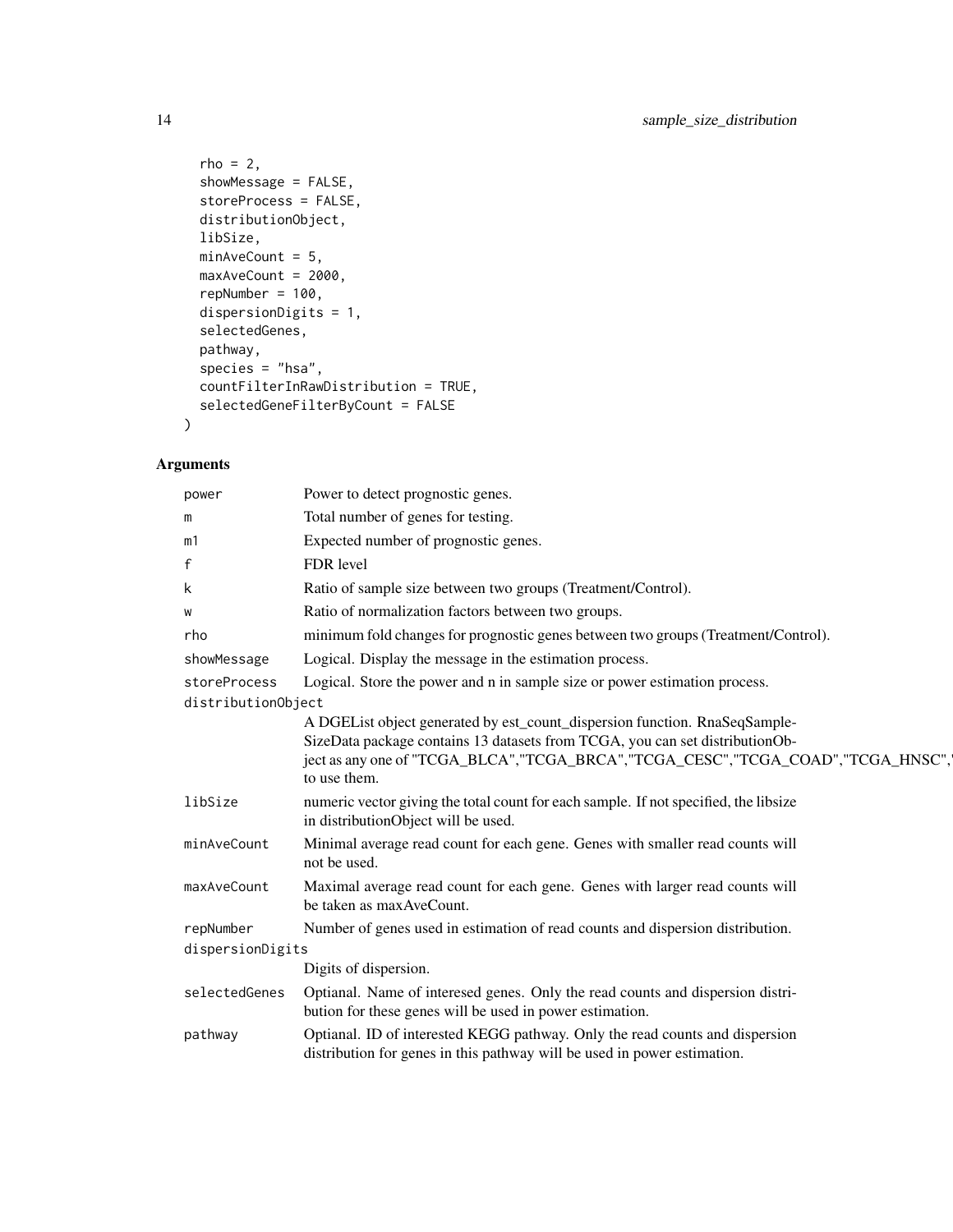```
rho = 2,
  showMessage = FALSE,
  storeProcess = FALSE,
 distributionObject,
 libSize,
 minAveCount = 5,
 maxAveCount = 2000,
 repNumber = 100,
 dispersionDigits = 1,
  selectedGenes,
 pathway,
 species = "hsa",
 countFilterInRawDistribution = TRUE,
  selectedGeneFilterByCount = FALSE
\mathcal{L}
```

| power                         | Power to detect prognostic genes.                                                                                                                                                                                                                                 |
|-------------------------------|-------------------------------------------------------------------------------------------------------------------------------------------------------------------------------------------------------------------------------------------------------------------|
| m                             | Total number of genes for testing.                                                                                                                                                                                                                                |
| m1                            | Expected number of prognostic genes.                                                                                                                                                                                                                              |
| $\mathbf{f}$                  | FDR level                                                                                                                                                                                                                                                         |
| k                             | Ratio of sample size between two groups (Treatment/Control).                                                                                                                                                                                                      |
| W                             | Ratio of normalization factors between two groups.                                                                                                                                                                                                                |
| rho                           | minimum fold changes for prognostic genes between two groups (Treatment/Control).                                                                                                                                                                                 |
| showMessage                   | Logical. Display the message in the estimation process.                                                                                                                                                                                                           |
| storeProcess                  | Logical. Store the power and n in sample size or power estimation process.                                                                                                                                                                                        |
| distributionObject            |                                                                                                                                                                                                                                                                   |
|                               | A DGEList object generated by est_count_dispersion function. RnaSeqSample-<br>SizeData package contains 13 datasets from TCGA, you can set distributionOb-<br>ject as any one of "TCGA_BLCA", "TCGA_BRCA", "TCGA_CESC", "TCGA_COAD", "TCGA_HNSC",<br>to use them. |
| libSize                       | numeric vector giving the total count for each sample. If not specified, the libsize<br>in distributionObject will be used.                                                                                                                                       |
| minAveCount                   | Minimal average read count for each gene. Genes with smaller read counts will<br>not be used.                                                                                                                                                                     |
| maxAveCount                   | Maximal average read count for each gene. Genes with larger read counts will<br>be taken as max AveCount.                                                                                                                                                         |
| repNumber<br>dispersionDigits | Number of genes used in estimation of read counts and dispersion distribution.                                                                                                                                                                                    |
|                               | Digits of dispersion.                                                                                                                                                                                                                                             |
| selectedGenes                 | Optianal. Name of interesed genes. Only the read counts and dispersion distri-<br>bution for these genes will be used in power estimation.                                                                                                                        |
| pathway                       | Optianal. ID of interested KEGG pathway. Only the read counts and dispersion<br>distribution for genes in this pathway will be used in power estimation.                                                                                                          |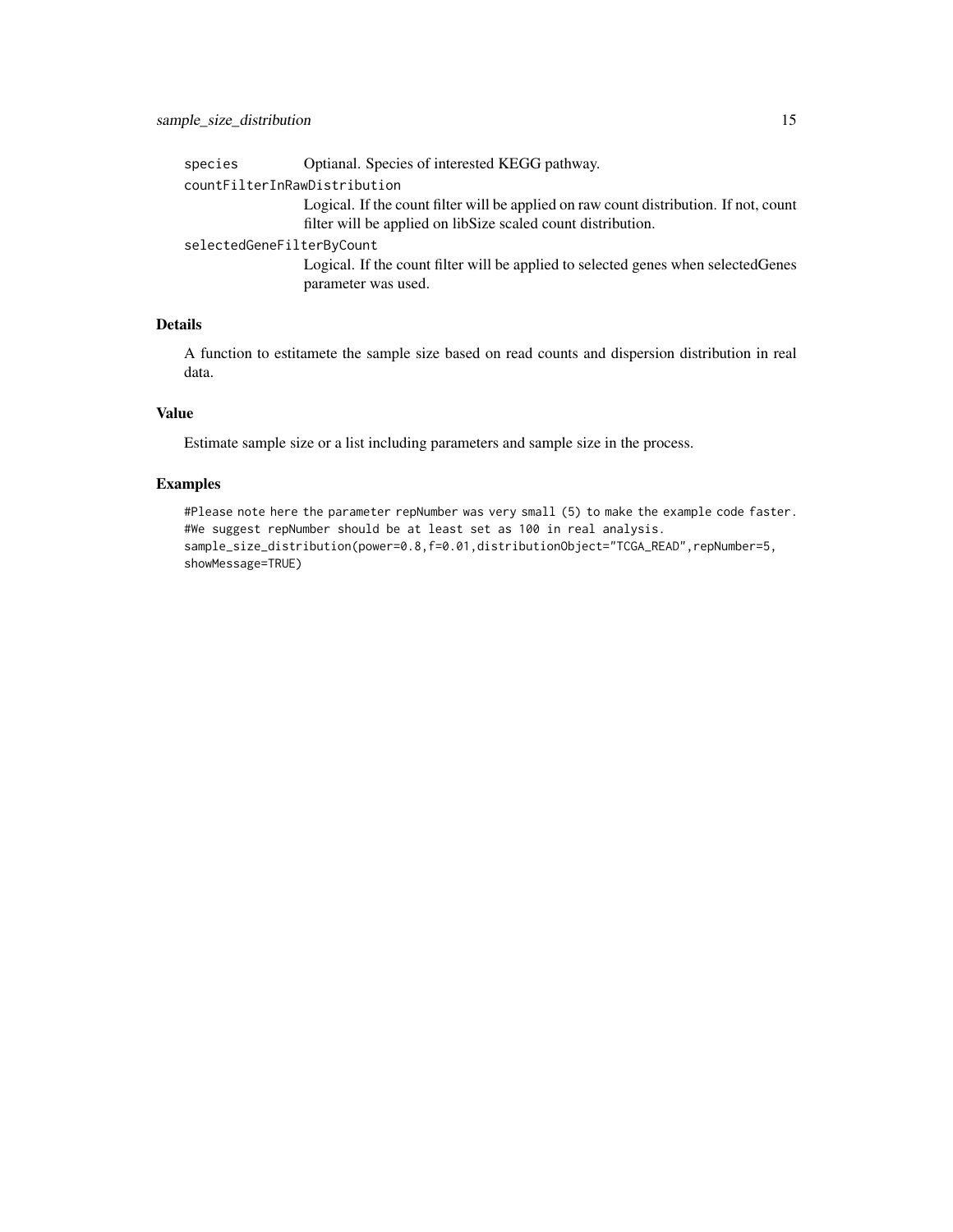| countFilterInRawDistribution<br>filter will be applied on libSize scaled count distribution.<br>selectedGeneFilterByCount<br>parameter was used. | species | Optianal. Species of interested KEGG pathway.                                         |
|--------------------------------------------------------------------------------------------------------------------------------------------------|---------|---------------------------------------------------------------------------------------|
|                                                                                                                                                  |         |                                                                                       |
|                                                                                                                                                  |         | Logical. If the count filter will be applied on raw count distribution. If not, count |
|                                                                                                                                                  |         |                                                                                       |
|                                                                                                                                                  |         | Logical. If the count filter will be applied to selected genes when selected Genes    |

#### Details

A function to estitamete the sample size based on read counts and dispersion distribution in real data.

#### Value

Estimate sample size or a list including parameters and sample size in the process.

#### Examples

#Please note here the parameter repNumber was very small (5) to make the example code faster. #We suggest repNumber should be at least set as 100 in real analysis. sample\_size\_distribution(power=0.8,f=0.01,distributionObject="TCGA\_READ",repNumber=5, showMessage=TRUE)